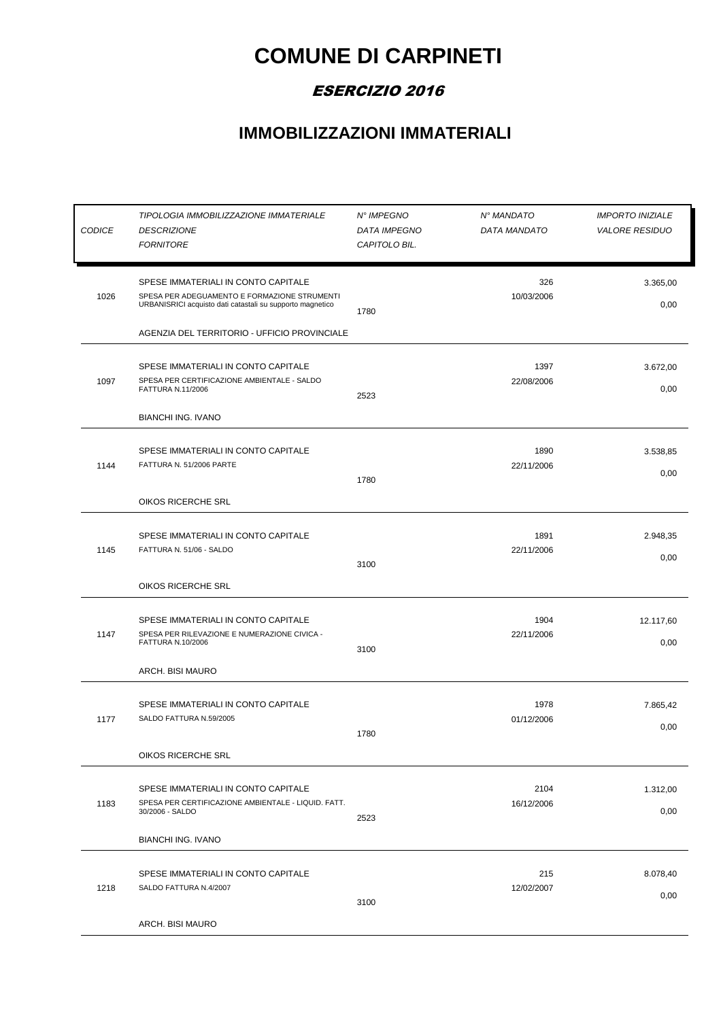## **COMUNE DI CARPINETI**

## ESERCIZIO 2016

## **IMMOBILIZZAZIONI IMMATERIALI**

| <b>CODICE</b> | TIPOLOGIA IMMOBILIZZAZIONE IMMATERIALE<br><b>DESCRIZIONE</b><br><b>FORNITORE</b>                                                                 | N° IMPEGNO<br><b>DATA IMPEGNO</b><br>CAPITOLO BIL. | N° MANDATO<br>DATA MANDATO | <b>IMPORTO INIZIALE</b><br><b>VALORE RESIDUO</b> |
|---------------|--------------------------------------------------------------------------------------------------------------------------------------------------|----------------------------------------------------|----------------------------|--------------------------------------------------|
| 1026          | SPESE IMMATERIALI IN CONTO CAPITALE<br>SPESA PER ADEGUAMENTO E FORMAZIONE STRUMENTI<br>URBANISRICI acquisto dati catastali su supporto magnetico | 1780                                               | 326<br>10/03/2006          | 3.365,00<br>0,00                                 |
|               | AGENZIA DEL TERRITORIO - UFFICIO PROVINCIALE                                                                                                     |                                                    |                            |                                                  |
| 1097          | SPESE IMMATERIALI IN CONTO CAPITALE<br>SPESA PER CERTIFICAZIONE AMBIENTALE - SALDO<br>FATTURA N.11/2006<br><b>BIANCHI ING. IVANO</b>             | 2523                                               | 1397<br>22/08/2006         | 3.672,00<br>0,00                                 |
| 1144          | SPESE IMMATERIALI IN CONTO CAPITALE<br>FATTURA N. 51/2006 PARTE                                                                                  | 1780                                               | 1890<br>22/11/2006         | 3.538,85<br>0,00                                 |
|               | OIKOS RICERCHE SRL                                                                                                                               |                                                    |                            |                                                  |
| 1145          | SPESE IMMATERIALI IN CONTO CAPITALE<br>FATTURA N. 51/06 - SALDO                                                                                  | 3100                                               | 1891<br>22/11/2006         | 2.948,35<br>0,00                                 |
|               | OIKOS RICERCHE SRL                                                                                                                               |                                                    |                            |                                                  |
| 1147          | SPESE IMMATERIALI IN CONTO CAPITALE<br>SPESA PER RILEVAZIONE E NUMERAZIONE CIVICA -<br>FATTURA N.10/2006                                         | 3100                                               | 1904<br>22/11/2006         | 12.117,60<br>0,00                                |
|               | ARCH. BISI MAURO                                                                                                                                 |                                                    |                            |                                                  |
| 1177          | SPESE IMMATERIALI IN CONTO CAPITALE<br>SALDO FATTURA N.59/2005                                                                                   | 1780                                               | 1978<br>01/12/2006         | 7.865,42<br>0,00                                 |
|               | OIKOS RICERCHE SRL                                                                                                                               |                                                    |                            |                                                  |
| 1183          | SPESE IMMATERIALI IN CONTO CAPITALE<br>SPESA PER CERTIFICAZIONE AMBIENTALE - LIQUID. FATT.<br>30/2006 - SALDO                                    | 2523                                               | 2104<br>16/12/2006         | 1.312,00<br>0,00                                 |
|               | <b>BIANCHI ING. IVANO</b>                                                                                                                        |                                                    |                            |                                                  |
| 1218          | SPESE IMMATERIALI IN CONTO CAPITALE<br>SALDO FATTURA N.4/2007                                                                                    | 3100                                               | 215<br>12/02/2007          | 8.078,40<br>0,00                                 |
|               | ARCH. BISI MAURO                                                                                                                                 |                                                    |                            |                                                  |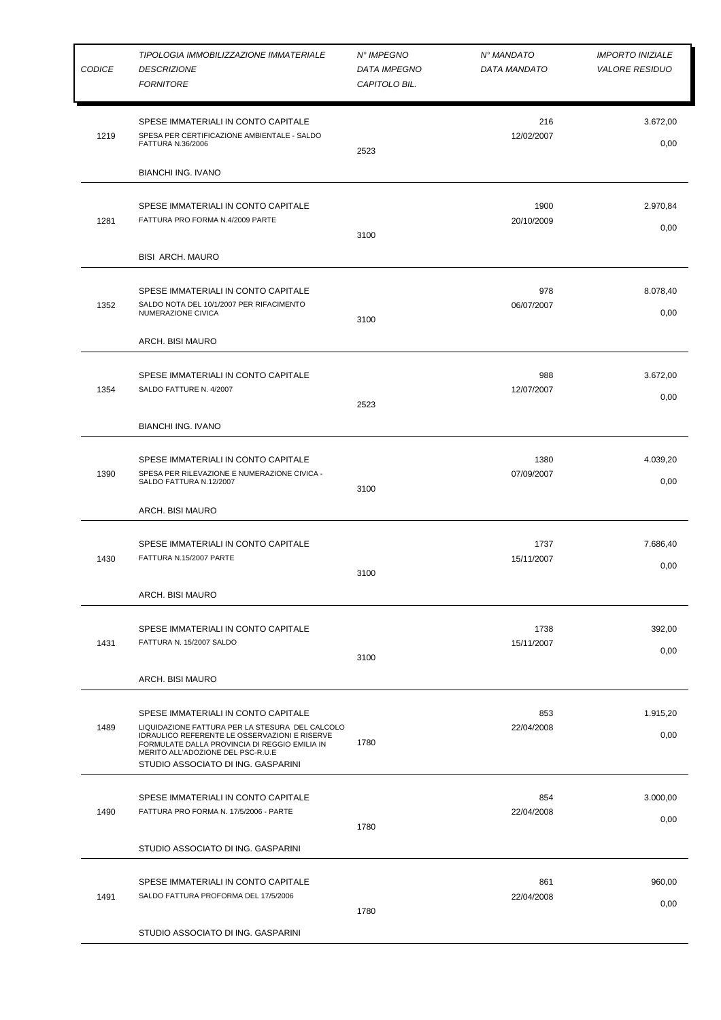| <b>CODICE</b> | TIPOLOGIA IMMOBILIZZAZIONE IMMATERIALE<br><b>DESCRIZIONE</b><br><b>FORNITORE</b>                                                                                                                                                                                    | N° IMPEGNO<br><b>DATA IMPEGNO</b><br>CAPITOLO BIL. | N° MANDATO<br>DATA MANDATO | <b>IMPORTO INIZIALE</b><br><b>VALORE RESIDUO</b> |
|---------------|---------------------------------------------------------------------------------------------------------------------------------------------------------------------------------------------------------------------------------------------------------------------|----------------------------------------------------|----------------------------|--------------------------------------------------|
| 1219          | SPESE IMMATERIALI IN CONTO CAPITALE<br>SPESA PER CERTIFICAZIONE AMBIENTALE - SALDO<br><b>FATTURA N.36/2006</b><br><b>BIANCHI ING. IVANO</b>                                                                                                                         | 2523                                               | 216<br>12/02/2007          | 3.672,00<br>0,00                                 |
| 1281          | SPESE IMMATERIALI IN CONTO CAPITALE<br>FATTURA PRO FORMA N.4/2009 PARTE<br><b>BISI ARCH. MAURO</b>                                                                                                                                                                  | 3100                                               | 1900<br>20/10/2009         | 2.970,84<br>0,00                                 |
| 1352          | SPESE IMMATERIALI IN CONTO CAPITALE<br>SALDO NOTA DEL 10/1/2007 PER RIFACIMENTO<br>NUMERAZIONE CIVICA<br>ARCH. BISI MAURO                                                                                                                                           | 3100                                               | 978<br>06/07/2007          | 8.078,40<br>0,00                                 |
| 1354          | SPESE IMMATERIALI IN CONTO CAPITALE<br>SALDO FATTURE N. 4/2007<br><b>BIANCHI ING. IVANO</b>                                                                                                                                                                         | 2523                                               | 988<br>12/07/2007          | 3.672,00<br>0,00                                 |
| 1390          | SPESE IMMATERIALI IN CONTO CAPITALE<br>SPESA PER RILEVAZIONE E NUMERAZIONE CIVICA -<br>SALDO FATTURA N.12/2007<br>ARCH. BISI MAURO                                                                                                                                  | 3100                                               | 1380<br>07/09/2007         | 4.039,20<br>0,00                                 |
| 1430          | SPESE IMMATERIALI IN CONTO CAPITALE<br>FATTURA N.15/2007 PARTE<br>ARCH. BISI MAURO                                                                                                                                                                                  | 3100                                               | 1737<br>15/11/2007         | 7.686,40<br>0,00                                 |
| 1431          | SPESE IMMATERIALI IN CONTO CAPITALE<br>FATTURA N. 15/2007 SALDO<br>ARCH. BISI MAURO                                                                                                                                                                                 | 3100                                               | 1738<br>15/11/2007         | 392,00<br>0,00                                   |
| 1489          | SPESE IMMATERIALI IN CONTO CAPITALE<br>LIQUIDAZIONE FATTURA PER LA STESURA DEL CALCOLO<br>IDRAULICO REFERENTE LE OSSERVAZIONI E RISERVE<br>FORMULATE DALLA PROVINCIA DI REGGIO EMILIA IN<br>MERITO ALL'ADOZIONE DEL PSC-R.U.E<br>STUDIO ASSOCIATO DI ING. GASPARINI | 1780                                               | 853<br>22/04/2008          | 1.915,20<br>0,00                                 |
| 1490          | SPESE IMMATERIALI IN CONTO CAPITALE<br>FATTURA PRO FORMA N. 17/5/2006 - PARTE<br>STUDIO ASSOCIATO DI ING. GASPARINI                                                                                                                                                 | 1780                                               | 854<br>22/04/2008          | 3.000,00<br>0,00                                 |
| 1491          | SPESE IMMATERIALI IN CONTO CAPITALE<br>SALDO FATTURA PROFORMA DEL 17/5/2006<br>STUDIO ASSOCIATO DI ING. GASPARINI                                                                                                                                                   | 1780                                               | 861<br>22/04/2008          | 960,00<br>0,00                                   |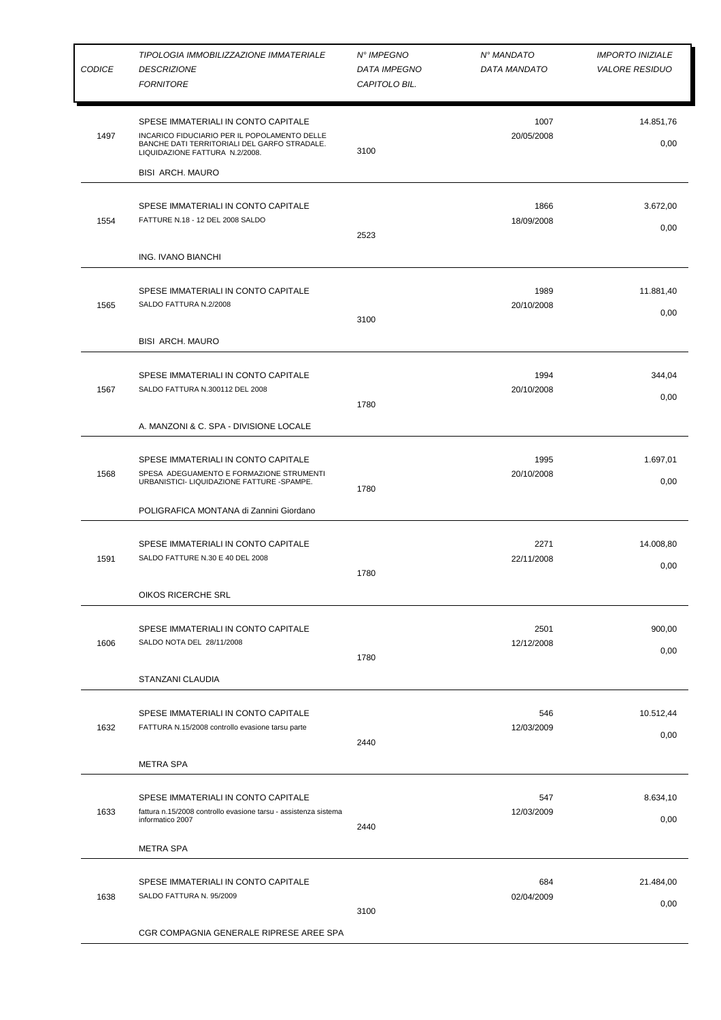| <b>CODICE</b> | TIPOLOGIA IMMOBILIZZAZIONE IMMATERIALE<br><b>DESCRIZIONE</b><br><b>FORNITORE</b>                                                                                      | N° IMPEGNO<br><b>DATA IMPEGNO</b><br>CAPITOLO BIL. | N° MANDATO<br>DATA MANDATO | <b>IMPORTO INIZIALE</b><br><b>VALORE RESIDUO</b> |
|---------------|-----------------------------------------------------------------------------------------------------------------------------------------------------------------------|----------------------------------------------------|----------------------------|--------------------------------------------------|
| 1497          | SPESE IMMATERIALI IN CONTO CAPITALE<br>INCARICO FIDUCIARIO PER IL POPOLAMENTO DELLE<br>BANCHE DATI TERRITORIALI DEL GARFO STRADALE.<br>LIQUIDAZIONE FATTURA N.2/2008. | 3100                                               | 1007<br>20/05/2008         | 14.851,76<br>0,00                                |
|               | <b>BISI ARCH. MAURO</b>                                                                                                                                               |                                                    |                            |                                                  |
| 1554          | SPESE IMMATERIALI IN CONTO CAPITALE<br>FATTURE N.18 - 12 DEL 2008 SALDO                                                                                               | 2523                                               | 1866<br>18/09/2008         | 3.672,00<br>0,00                                 |
|               | ING. IVANO BIANCHI                                                                                                                                                    |                                                    |                            |                                                  |
| 1565          | SPESE IMMATERIALI IN CONTO CAPITALE<br>SALDO FATTURA N.2/2008                                                                                                         | 3100                                               | 1989<br>20/10/2008         | 11.881,40<br>0,00                                |
|               | <b>BISI ARCH. MAURO</b>                                                                                                                                               |                                                    |                            |                                                  |
| 1567          | SPESE IMMATERIALI IN CONTO CAPITALE<br>SALDO FATTURA N.300112 DEL 2008                                                                                                | 1780                                               | 1994<br>20/10/2008         | 344,04<br>0,00                                   |
|               | A. MANZONI & C. SPA - DIVISIONE LOCALE                                                                                                                                |                                                    |                            |                                                  |
| 1568          | SPESE IMMATERIALI IN CONTO CAPITALE<br>SPESA ADEGUAMENTO E FORMAZIONE STRUMENTI<br>URBANISTICI- LIQUIDAZIONE FATTURE -SPAMPE.                                         | 1780                                               | 1995<br>20/10/2008         | 1.697,01<br>0,00                                 |
|               | POLIGRAFICA MONTANA di Zannini Giordano                                                                                                                               |                                                    |                            |                                                  |
| 1591          | SPESE IMMATERIALI IN CONTO CAPITALE<br>SALDO FATTURE N.30 E 40 DEL 2008                                                                                               | 1780                                               | 2271<br>22/11/2008         | 14.008,80<br>0,00                                |
|               | OIKOS RICERCHE SRL                                                                                                                                                    |                                                    |                            |                                                  |
| 1606          | SPESE IMMATERIALI IN CONTO CAPITALE<br>SALDO NOTA DEL 28/11/2008                                                                                                      | 1780                                               | 2501<br>12/12/2008         | 900,00<br>0,00                                   |
|               | STANZANI CLAUDIA                                                                                                                                                      |                                                    |                            |                                                  |
| 1632          | SPESE IMMATERIALI IN CONTO CAPITALE<br>FATTURA N.15/2008 controllo evasione tarsu parte                                                                               | 2440                                               | 546<br>12/03/2009          | 10.512,44<br>0,00                                |
|               | <b>METRA SPA</b>                                                                                                                                                      |                                                    |                            |                                                  |
| 1633          | SPESE IMMATERIALI IN CONTO CAPITALE<br>fattura n.15/2008 controllo evasione tarsu - assistenza sistema<br>informatico 2007<br><b>METRA SPA</b>                        | 2440                                               | 547<br>12/03/2009          | 8.634,10<br>0,00                                 |
|               |                                                                                                                                                                       |                                                    |                            |                                                  |
| 1638          | SPESE IMMATERIALI IN CONTO CAPITALE<br>SALDO FATTURA N. 95/2009                                                                                                       | 3100                                               | 684<br>02/04/2009          | 21.484,00<br>0,00                                |
|               | CGR COMPAGNIA GENERALE RIPRESE AREE SPA                                                                                                                               |                                                    |                            |                                                  |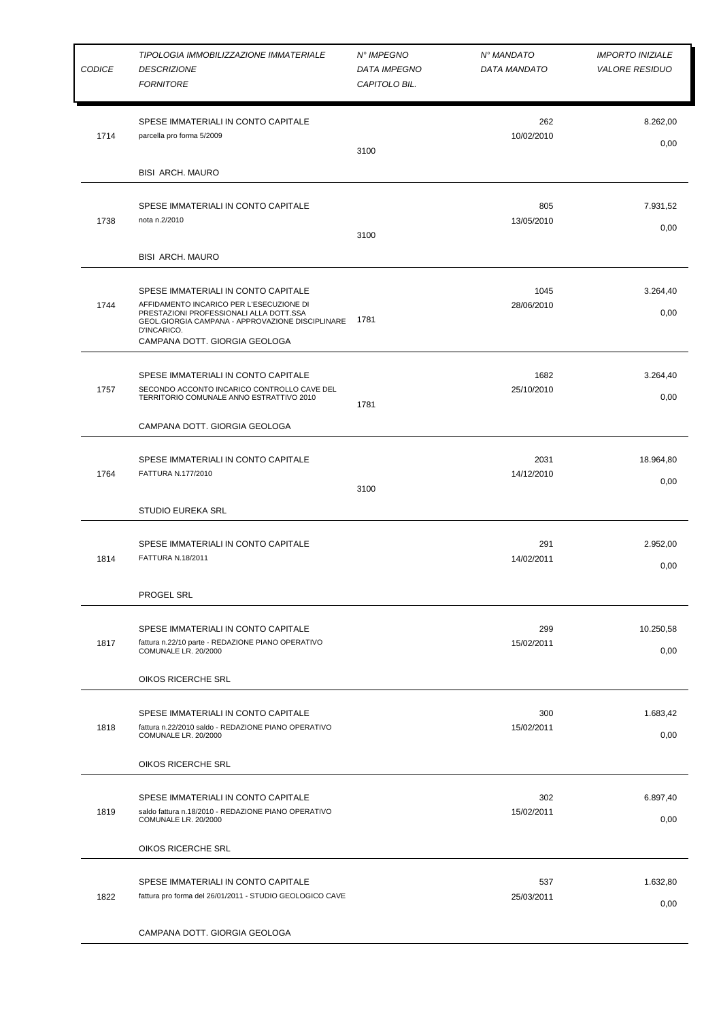| <b>CODICE</b> | TIPOLOGIA IMMOBILIZZAZIONE IMMATERIALE<br><b>DESCRIZIONE</b><br><b>FORNITORE</b>                                                                                                                                               | N° IMPEGNO<br><b>DATA IMPEGNO</b><br>CAPITOLO BIL. | N° MANDATO<br>DATA MANDATO | <b>IMPORTO INIZIALE</b><br><b>VALORE RESIDUO</b> |
|---------------|--------------------------------------------------------------------------------------------------------------------------------------------------------------------------------------------------------------------------------|----------------------------------------------------|----------------------------|--------------------------------------------------|
| 1714          | SPESE IMMATERIALI IN CONTO CAPITALE<br>parcella pro forma 5/2009                                                                                                                                                               | 3100                                               | 262<br>10/02/2010          | 8.262,00<br>0,00                                 |
|               | <b>BISI ARCH. MAURO</b>                                                                                                                                                                                                        |                                                    |                            |                                                  |
| 1738          | SPESE IMMATERIALI IN CONTO CAPITALE<br>nota n.2/2010                                                                                                                                                                           | 3100                                               | 805<br>13/05/2010          | 7.931,52<br>0,00                                 |
|               | <b>BISI ARCH. MAURO</b>                                                                                                                                                                                                        |                                                    |                            |                                                  |
| 1744          | SPESE IMMATERIALI IN CONTO CAPITALE<br>AFFIDAMENTO INCARICO PER L'ESECUZIONE DI<br>PRESTAZIONI PROFESSIONALI ALLA DOTT.SSA<br>GEOL.GIORGIA CAMPANA - APPROVAZIONE DISCIPLINARE<br>D'INCARICO.<br>CAMPANA DOTT. GIORGIA GEOLOGA | 1781                                               | 1045<br>28/06/2010         | 3.264,40<br>0,00                                 |
| 1757          | SPESE IMMATERIALI IN CONTO CAPITALE<br>SECONDO ACCONTO INCARICO CONTROLLO CAVE DEL<br>TERRITORIO COMUNALE ANNO ESTRATTIVO 2010<br>CAMPANA DOTT. GIORGIA GEOLOGA                                                                | 1781                                               | 1682<br>25/10/2010         | 3.264,40<br>0,00                                 |
| 1764          | SPESE IMMATERIALI IN CONTO CAPITALE<br>FATTURA N.177/2010                                                                                                                                                                      | 3100                                               | 2031<br>14/12/2010         | 18.964,80<br>0,00                                |
|               | <b>STUDIO EUREKA SRL</b>                                                                                                                                                                                                       |                                                    |                            |                                                  |
| 1814          | SPESE IMMATERIALI IN CONTO CAPITALE<br><b>FATTURA N.18/2011</b>                                                                                                                                                                |                                                    | 291<br>14/02/2011          | 2.952,00<br>0,00                                 |
|               | <b>PROGEL SRL</b>                                                                                                                                                                                                              |                                                    |                            |                                                  |
| 1817          | SPESE IMMATERIALI IN CONTO CAPITALE<br>fattura n.22/10 parte - REDAZIONE PIANO OPERATIVO<br>COMUNALE LR. 20/2000                                                                                                               |                                                    | 299<br>15/02/2011          | 10.250,58<br>0,00                                |
|               | OIKOS RICERCHE SRL                                                                                                                                                                                                             |                                                    |                            |                                                  |
| 1818          | SPESE IMMATERIALI IN CONTO CAPITALE<br>fattura n.22/2010 saldo - REDAZIONE PIANO OPERATIVO<br>COMUNALE LR. 20/2000                                                                                                             |                                                    | 300<br>15/02/2011          | 1.683,42<br>0,00                                 |
|               | OIKOS RICERCHE SRL                                                                                                                                                                                                             |                                                    |                            |                                                  |
| 1819          | SPESE IMMATERIALI IN CONTO CAPITALE<br>saldo fattura n.18/2010 - REDAZIONE PIANO OPERATIVO<br>COMUNALE LR. 20/2000<br>OIKOS RICERCHE SRL                                                                                       |                                                    | 302<br>15/02/2011          | 6.897,40<br>0,00                                 |
| 1822          | SPESE IMMATERIALI IN CONTO CAPITALE<br>fattura pro forma del 26/01/2011 - STUDIO GEOLOGICO CAVE                                                                                                                                |                                                    | 537<br>25/03/2011          | 1.632,80<br>0,00                                 |
|               | CAMPANA DOTT. GIORGIA GEOLOGA                                                                                                                                                                                                  |                                                    |                            |                                                  |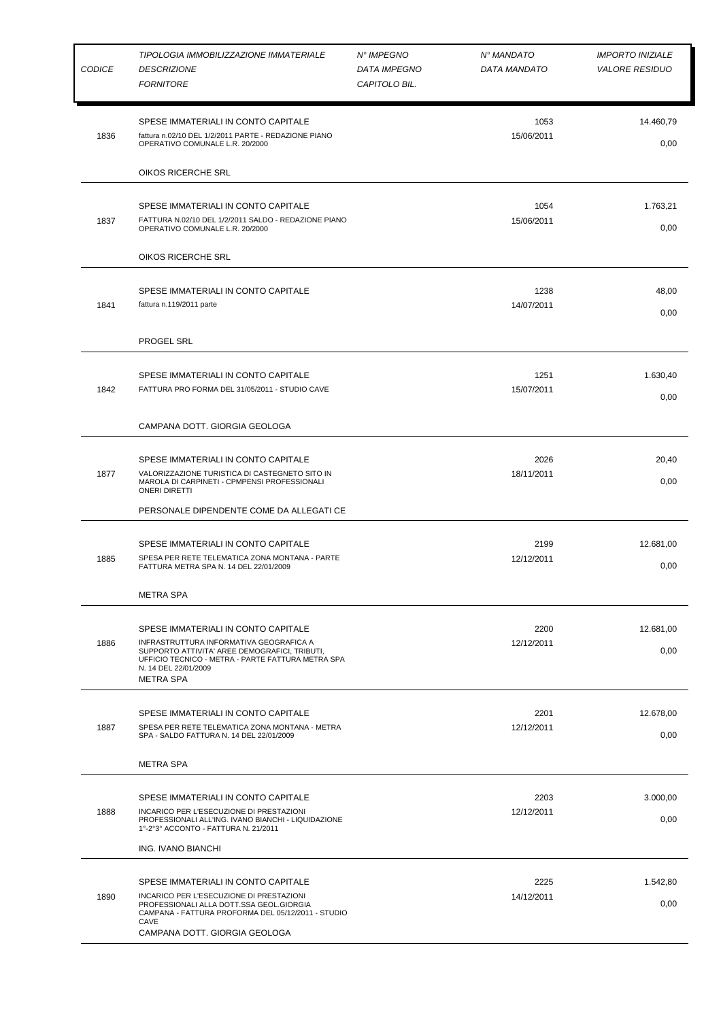| <b>CODICE</b> | TIPOLOGIA IMMOBILIZZAZIONE IMMATERIALE<br><b>DESCRIZIONE</b><br><b>FORNITORE</b>                                                                                                                                                 | N° IMPEGNO<br><b>DATA IMPEGNO</b><br>CAPITOLO BIL. | N° MANDATO<br>DATA MANDATO | <b>IMPORTO INIZIALE</b><br><b>VALORE RESIDUO</b> |
|---------------|----------------------------------------------------------------------------------------------------------------------------------------------------------------------------------------------------------------------------------|----------------------------------------------------|----------------------------|--------------------------------------------------|
| 1836          | SPESE IMMATERIALI IN CONTO CAPITALE<br>fattura n.02/10 DEL 1/2/2011 PARTE - REDAZIONE PIANO<br>OPERATIVO COMUNALE L.R. 20/2000                                                                                                   |                                                    | 1053<br>15/06/2011         | 14.460,79<br>0,00                                |
|               | OIKOS RICERCHE SRL                                                                                                                                                                                                               |                                                    |                            |                                                  |
| 1837          | SPESE IMMATERIALI IN CONTO CAPITALE<br>FATTURA N.02/10 DEL 1/2/2011 SALDO - REDAZIONE PIANO<br>OPERATIVO COMUNALE L.R. 20/2000                                                                                                   |                                                    | 1054<br>15/06/2011         | 1.763,21<br>0,00                                 |
|               | OIKOS RICERCHE SRL                                                                                                                                                                                                               |                                                    |                            |                                                  |
| 1841          | SPESE IMMATERIALI IN CONTO CAPITALE<br>fattura n.119/2011 parte                                                                                                                                                                  |                                                    | 1238<br>14/07/2011         | 48,00<br>0,00                                    |
|               | <b>PROGEL SRL</b>                                                                                                                                                                                                                |                                                    |                            |                                                  |
| 1842          | SPESE IMMATERIALI IN CONTO CAPITALE<br>FATTURA PRO FORMA DEL 31/05/2011 - STUDIO CAVE                                                                                                                                            |                                                    | 1251<br>15/07/2011         | 1.630,40<br>0,00                                 |
|               | CAMPANA DOTT. GIORGIA GEOLOGA                                                                                                                                                                                                    |                                                    |                            |                                                  |
| 1877          | SPESE IMMATERIALI IN CONTO CAPITALE<br>VALORIZZAZIONE TURISTICA DI CASTEGNETO SITO IN<br>MAROLA DI CARPINETI - CPMPENSI PROFESSIONALI<br><b>ONERI DIRETTI</b>                                                                    |                                                    | 2026<br>18/11/2011         | 20,40<br>0,00                                    |
|               | PERSONALE DIPENDENTE COME DA ALLEGATI CE                                                                                                                                                                                         |                                                    |                            |                                                  |
| 1885          | SPESE IMMATERIALI IN CONTO CAPITALE<br>SPESA PER RETE TELEMATICA ZONA MONTANA - PARTE<br>FATTURA METRA SPA N. 14 DEL 22/01/2009                                                                                                  |                                                    | 2199<br>12/12/2011         | 12.681,00<br>0,00                                |
|               | <b>METRA SPA</b>                                                                                                                                                                                                                 |                                                    |                            |                                                  |
| 1886          | SPESE IMMATERIALI IN CONTO CAPITALE<br>INFRASTRUTTURA INFORMATIVA GEOGRAFICA A<br>SUPPORTO ATTIVITA' AREE DEMOGRAFICI, TRIBUTI,<br>UFFICIO TECNICO - METRA - PARTE FATTURA METRA SPA<br>N. 14 DEL 22/01/2009<br><b>METRA SPA</b> |                                                    | 2200<br>12/12/2011         | 12.681,00<br>0,00                                |
| 1887          | SPESE IMMATERIALI IN CONTO CAPITALE<br>SPESA PER RETE TELEMATICA ZONA MONTANA - METRA<br>SPA - SALDO FATTURA N. 14 DEL 22/01/2009                                                                                                |                                                    | 2201<br>12/12/2011         | 12.678,00<br>0,00                                |
|               | <b>METRA SPA</b>                                                                                                                                                                                                                 |                                                    |                            |                                                  |
| 1888          | SPESE IMMATERIALI IN CONTO CAPITALE<br>INCARICO PER L'ESECUZIONE DI PRESTAZIONI<br>PROFESSIONALI ALL'ING. IVANO BIANCHI - LIQUIDAZIONE<br>1°-2°3° ACCONTO - FATTURA N. 21/2011<br>ING. IVANO BIANCHI                             |                                                    | 2203<br>12/12/2011         | 3.000,00<br>0,00                                 |
| 1890          | SPESE IMMATERIALI IN CONTO CAPITALE<br>INCARICO PER L'ESECUZIONE DI PRESTAZIONI<br>PROFESSIONALI ALLA DOTT.SSA GEOL.GIORGIA<br>CAMPANA - FATTURA PROFORMA DEL 05/12/2011 - STUDIO<br>CAVE<br>CAMPANA DOTT. GIORGIA GEOLOGA       |                                                    | 2225<br>14/12/2011         | 1.542,80<br>0,00                                 |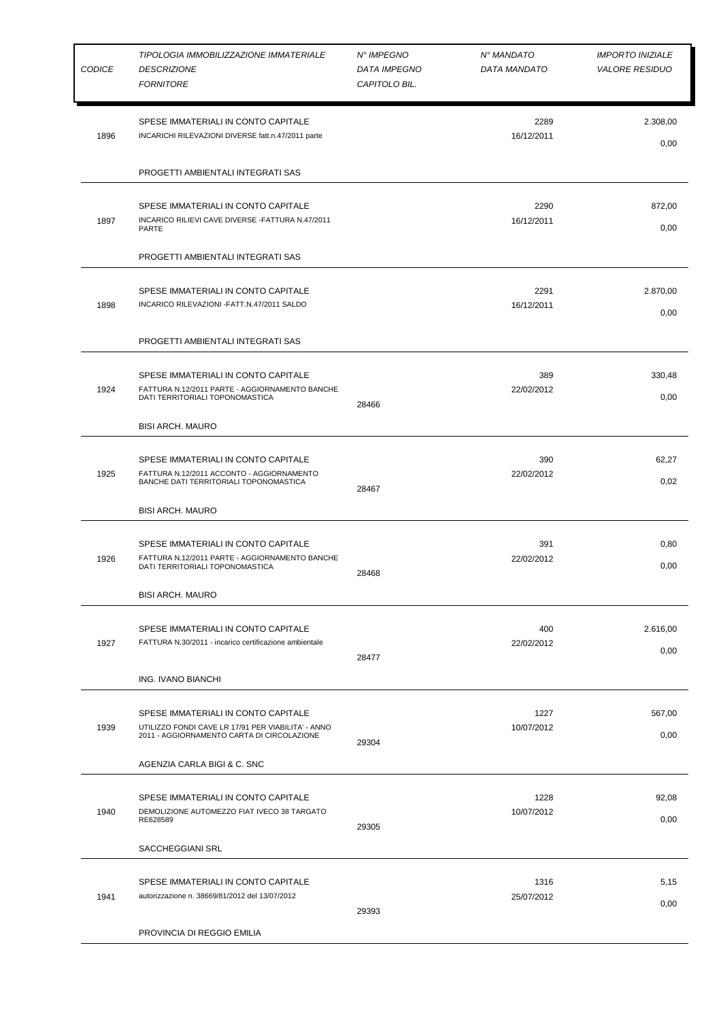| <b>CODICE</b> | TIPOLOGIA IMMOBILIZZAZIONE IMMATERIALE<br><b>DESCRIZIONE</b><br><b>FORNITORE</b>                                                        | N° IMPEGNO<br><b>DATA IMPEGNO</b><br>CAPITOLO BIL. | N° MANDATO<br>DATA MANDATO | <b>IMPORTO INIZIALE</b><br><b>VALORE RESIDUO</b> |
|---------------|-----------------------------------------------------------------------------------------------------------------------------------------|----------------------------------------------------|----------------------------|--------------------------------------------------|
| 1896          | SPESE IMMATERIALI IN CONTO CAPITALE<br>INCARICHI RILEVAZIONI DIVERSE fatt.n.47/2011 parte                                               |                                                    | 2289<br>16/12/2011         | 2.308,00<br>0,00                                 |
|               | PROGETTI AMBIENTALI INTEGRATI SAS                                                                                                       |                                                    |                            |                                                  |
| 1897          | SPESE IMMATERIALI IN CONTO CAPITALE<br>INCARICO RILIEVI CAVE DIVERSE - FATTURA N.47/2011<br>PARTE                                       |                                                    | 2290<br>16/12/2011         | 872,00<br>0,00                                   |
|               | PROGETTI AMBIENTALI INTEGRATI SAS                                                                                                       |                                                    |                            |                                                  |
| 1898          | SPESE IMMATERIALI IN CONTO CAPITALE<br>INCARICO RILEVAZIONI - FATT.N.47/2011 SALDO                                                      |                                                    | 2291<br>16/12/2011         | 2.870,00<br>0,00                                 |
|               | PROGETTI AMBIENTALI INTEGRATI SAS                                                                                                       |                                                    |                            |                                                  |
| 1924          | SPESE IMMATERIALI IN CONTO CAPITALE<br>FATTURA N.12/2011 PARTE - AGGIORNAMENTO BANCHE<br>DATI TERRITORIALI TOPONOMASTICA                | 28466                                              | 389<br>22/02/2012          | 330,48<br>0,00                                   |
|               | <b>BISI ARCH. MAURO</b>                                                                                                                 |                                                    |                            |                                                  |
| 1925          | SPESE IMMATERIALI IN CONTO CAPITALE<br>FATTURA N.12/2011 ACCONTO - AGGIORNAMENTO<br>BANCHE DATI TERRITORIALI TOPONOMASTICA              | 28467                                              | 390<br>22/02/2012          | 62,27<br>0,02                                    |
|               | <b>BISI ARCH. MAURO</b>                                                                                                                 |                                                    |                            |                                                  |
| 1926          | SPESE IMMATERIALI IN CONTO CAPITALE<br>FATTURA N.12/2011 PARTE - AGGIORNAMENTO BANCHE<br>DATI TERRITORIALI TOPONOMASTICA                | 28468                                              | 391<br>22/02/2012          | 0,80<br>0,00                                     |
|               | <b>BISI ARCH. MAURO</b>                                                                                                                 |                                                    |                            |                                                  |
| 1927          | SPESE IMMATERIALI IN CONTO CAPITALE<br>FATTURA N.30/2011 - incarico certificazione ambientale                                           | 28477                                              | 400<br>22/02/2012          | 2.616,00<br>0,00                                 |
|               | ING. IVANO BIANCHI                                                                                                                      |                                                    |                            |                                                  |
| 1939          | SPESE IMMATERIALI IN CONTO CAPITALE<br>UTILIZZO FONDI CAVE LR 17/91 PER VIABILITA' - ANNO<br>2011 - AGGIORNAMENTO CARTA DI CIRCOLAZIONE | 29304                                              | 1227<br>10/07/2012         | 567,00<br>0,00                                   |
|               | AGENZIA CARLA BIGI & C. SNC                                                                                                             |                                                    |                            |                                                  |
| 1940          | SPESE IMMATERIALI IN CONTO CAPITALE<br>DEMOLIZIONE AUTOMEZZO FIAT IVECO 38 TARGATO<br>RE628589                                          | 29305                                              | 1228<br>10/07/2012         | 92,08<br>0,00                                    |
|               | SACCHEGGIANI SRL                                                                                                                        |                                                    |                            |                                                  |
| 1941          | SPESE IMMATERIALI IN CONTO CAPITALE<br>autorizzazione n. 38669/81/2012 del 13/07/2012                                                   | 29393                                              | 1316<br>25/07/2012         | 5,15<br>0,00                                     |
|               | PROVINCIA DI REGGIO EMILIA                                                                                                              |                                                    |                            |                                                  |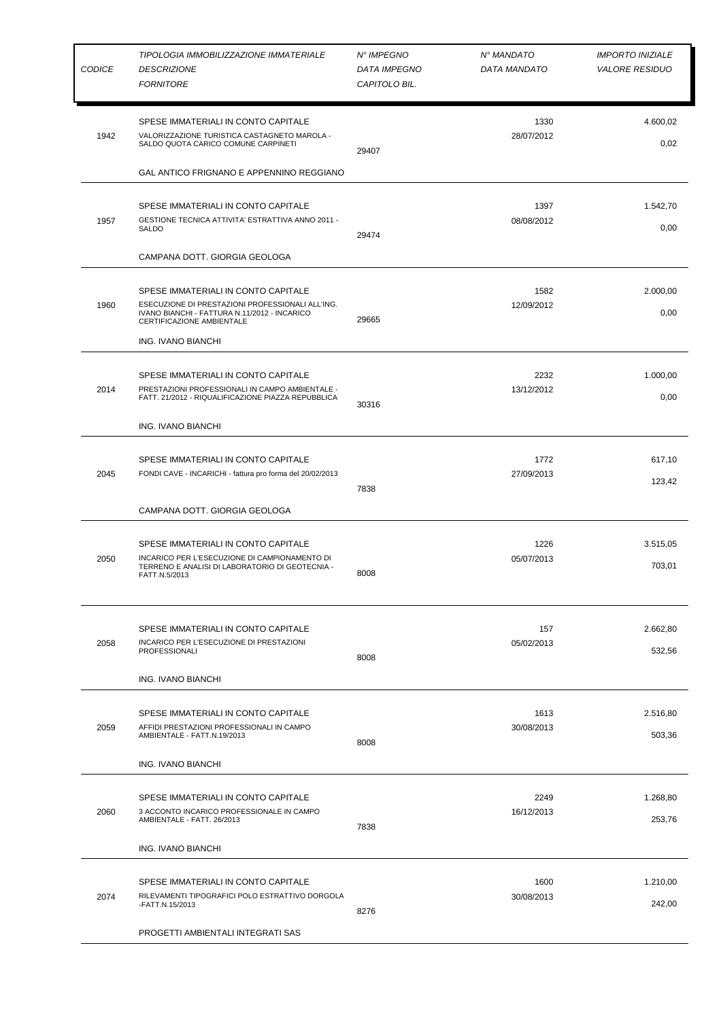| <b>CODICE</b> | TIPOLOGIA IMMOBILIZZAZIONE IMMATERIALE<br><b>DESCRIZIONE</b><br><b>FORNITORE</b>                                                                                     | N° IMPEGNO<br><b>DATA IMPEGNO</b><br>CAPITOLO BIL. | N° MANDATO<br>DATA MANDATO | <b>IMPORTO INIZIALE</b><br><b>VALORE RESIDUO</b> |
|---------------|----------------------------------------------------------------------------------------------------------------------------------------------------------------------|----------------------------------------------------|----------------------------|--------------------------------------------------|
| 1942          | SPESE IMMATERIALI IN CONTO CAPITALE<br>VALORIZZAZIONE TURISTICA CASTAGNETO MAROLA -<br>SALDO QUOTA CARICO COMUNE CARPINETI                                           | 29407                                              | 1330<br>28/07/2012         | 4.600,02<br>0,02                                 |
|               | GAL ANTICO FRIGNANO E APPENNINO REGGIANO                                                                                                                             |                                                    |                            |                                                  |
| 1957          | SPESE IMMATERIALI IN CONTO CAPITALE<br>GESTIONE TECNICA ATTIVITA' ESTRATTIVA ANNO 2011 -<br>SALDO                                                                    | 29474                                              | 1397<br>08/08/2012         | 1.542,70<br>0,00                                 |
|               | CAMPANA DOTT. GIORGIA GEOLOGA                                                                                                                                        |                                                    |                            |                                                  |
| 1960          | SPESE IMMATERIALI IN CONTO CAPITALE<br>ESECUZIONE DI PRESTAZIONI PROFESSIONALI ALL'ING.<br>IVANO BIANCHI - FATTURA N.11/2012 - INCARICO<br>CERTIFICAZIONE AMBIENTALE | 29665                                              | 1582<br>12/09/2012         | 2.000,00<br>0,00                                 |
|               | ING. IVANO BIANCHI                                                                                                                                                   |                                                    |                            |                                                  |
| 2014          | SPESE IMMATERIALI IN CONTO CAPITALE<br>PRESTAZIONI PROFESSIONALI IN CAMPO AMBIENTALE -<br>FATT. 21/2012 - RIQUALIFICAZIONE PIAZZA REPUBBLICA                         | 30316                                              | 2232<br>13/12/2012         | 1.000,00<br>0,00                                 |
|               | ING. IVANO BIANCHI                                                                                                                                                   |                                                    |                            |                                                  |
| 2045          | SPESE IMMATERIALI IN CONTO CAPITALE<br>FONDI CAVE - INCARICHI - fattura pro forma del 20/02/2013                                                                     | 7838                                               | 1772<br>27/09/2013         | 617,10<br>123,42                                 |
|               | CAMPANA DOTT. GIORGIA GEOLOGA                                                                                                                                        |                                                    |                            |                                                  |
| 2050          | SPESE IMMATERIALI IN CONTO CAPITALE<br>INCARICO PER L'ESECUZIONE DI CAMPIONAMENTO DI<br>TERRENO E ANALISI DI LABORATORIO DI GEOTECNIA -<br>FATT.N.5/2013             | 8008                                               | 1226<br>05/07/2013         | 3.515,05<br>703,01                               |
| 2058          | SPESE IMMATERIALI IN CONTO CAPITALE<br>INCARICO PER L'ESECUZIONE DI PRESTAZIONI<br><b>PROFESSIONALI</b><br>ING. IVANO BIANCHI                                        | 8008                                               | 157<br>05/02/2013          | 2.662,80<br>532,56                               |
| 2059          | SPESE IMMATERIALI IN CONTO CAPITALE<br>AFFIDI PRESTAZIONI PROFESSIONALI IN CAMPO<br>AMBIENTALE - FATT.N.19/2013<br>ING. IVANO BIANCHI                                | 8008                                               | 1613<br>30/08/2013         | 2.516,80<br>503,36                               |
|               |                                                                                                                                                                      |                                                    |                            |                                                  |
| 2060          | SPESE IMMATERIALI IN CONTO CAPITALE<br>3 ACCONTO INCARICO PROFESSIONALE IN CAMPO<br>AMBIENTALE - FATT. 26/2013                                                       | 7838                                               | 2249<br>16/12/2013         | 1.268,80<br>253,76                               |
|               | ING. IVANO BIANCHI                                                                                                                                                   |                                                    |                            |                                                  |
| 2074          | SPESE IMMATERIALI IN CONTO CAPITALE<br>RILEVAMENTI TIPOGRAFICI POLO ESTRATTIVO DORGOLA<br>-FATT.N.15/2013                                                            | 8276                                               | 1600<br>30/08/2013         | 1.210,00<br>242,00                               |
|               | PROGETTI AMBIENTALI INTEGRATI SAS                                                                                                                                    |                                                    |                            |                                                  |